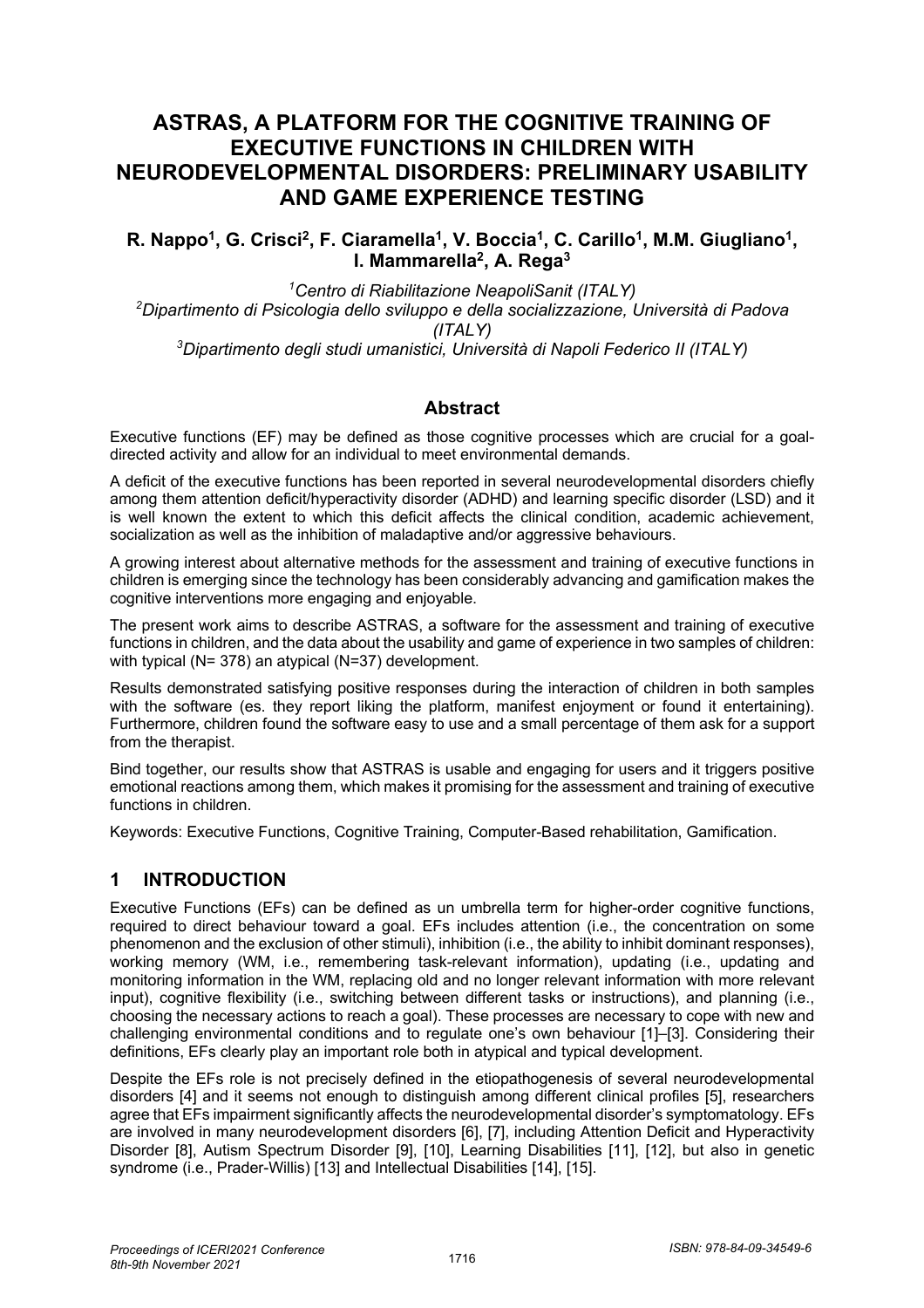# **ASTRAS, A PLATFORM FOR THE COGNITIVE TRAINING OF EXECUTIVE FUNCTIONS IN CHILDREN WITH NEURODEVELOPMENTAL DISORDERS: PRELIMINARY USABILITY AND GAME EXPERIENCE TESTING**

R. Nappo<sup>1</sup>, G. Crisci<sup>2</sup>, F. Ciaramella<sup>1</sup>, V. Boccia<sup>1</sup>, C. Carillo<sup>1</sup>, M.M. Giugliano<sup>1</sup>, **I. Mammarella2, A. Rega3**

 *Centro di Riabilitazione NeapoliSanit (ITALY) Dipartimento di Psicologia dello sviluppo e della socializzazione, Università di Padova (ITALY) Dipartimento degli studi umanistici, Università di Napoli Federico II (ITALY)*

#### **Abstract**

Executive functions (EF) may be defined as those cognitive processes which are crucial for a goaldirected activity and allow for an individual to meet environmental demands.

A deficit of the executive functions has been reported in several neurodevelopmental disorders chiefly among them attention deficit/hyperactivity disorder (ADHD) and learning specific disorder (LSD) and it is well known the extent to which this deficit affects the clinical condition, academic achievement, socialization as well as the inhibition of maladaptive and/or aggressive behaviours.

A growing interest about alternative methods for the assessment and training of executive functions in children is emerging since the technology has been considerably advancing and gamification makes the cognitive interventions more engaging and enjoyable.

The present work aims to describe ASTRAS, a software for the assessment and training of executive functions in children, and the data about the usability and game of experience in two samples of children: with typical (N= 378) an atypical (N=37) development.

Results demonstrated satisfying positive responses during the interaction of children in both samples with the software (es. they report liking the platform, manifest enjoyment or found it entertaining). Furthermore, children found the software easy to use and a small percentage of them ask for a support from the therapist.

Bind together, our results show that ASTRAS is usable and engaging for users and it triggers positive emotional reactions among them, which makes it promising for the assessment and training of executive functions in children.

Keywords: Executive Functions, Cognitive Training, Computer-Based rehabilitation, Gamification.

#### **1 INTRODUCTION**

Executive Functions (EFs) can be defined as un umbrella term for higher-order cognitive functions, required to direct behaviour toward a goal. EFs includes attention (i.e., the concentration on some phenomenon and the exclusion of other stimuli), inhibition (i.e., the ability to inhibit dominant responses), working memory (WM, i.e., remembering task-relevant information), updating (i.e., updating and monitoring information in the WM, replacing old and no longer relevant information with more relevant input), cognitive flexibility (i.e., switching between different tasks or instructions), and planning (i.e., choosing the necessary actions to reach a goal). These processes are necessary to cope with new and challenging environmental conditions and to regulate one's own behaviour [1]–[3]. Considering their definitions, EFs clearly play an important role both in atypical and typical development.

Despite the EFs role is not precisely defined in the etiopathogenesis of several neurodevelopmental disorders [4] and it seems not enough to distinguish among different clinical profiles [5], researchers agree that EFs impairment significantly affects the neurodevelopmental disorder's symptomatology. EFs are involved in many neurodevelopment disorders [6], [7], including Attention Deficit and Hyperactivity Disorder [8], Autism Spectrum Disorder [9], [10], Learning Disabilities [11], [12], but also in genetic syndrome (i.e., Prader-Willis) [13] and Intellectual Disabilities [14], [15].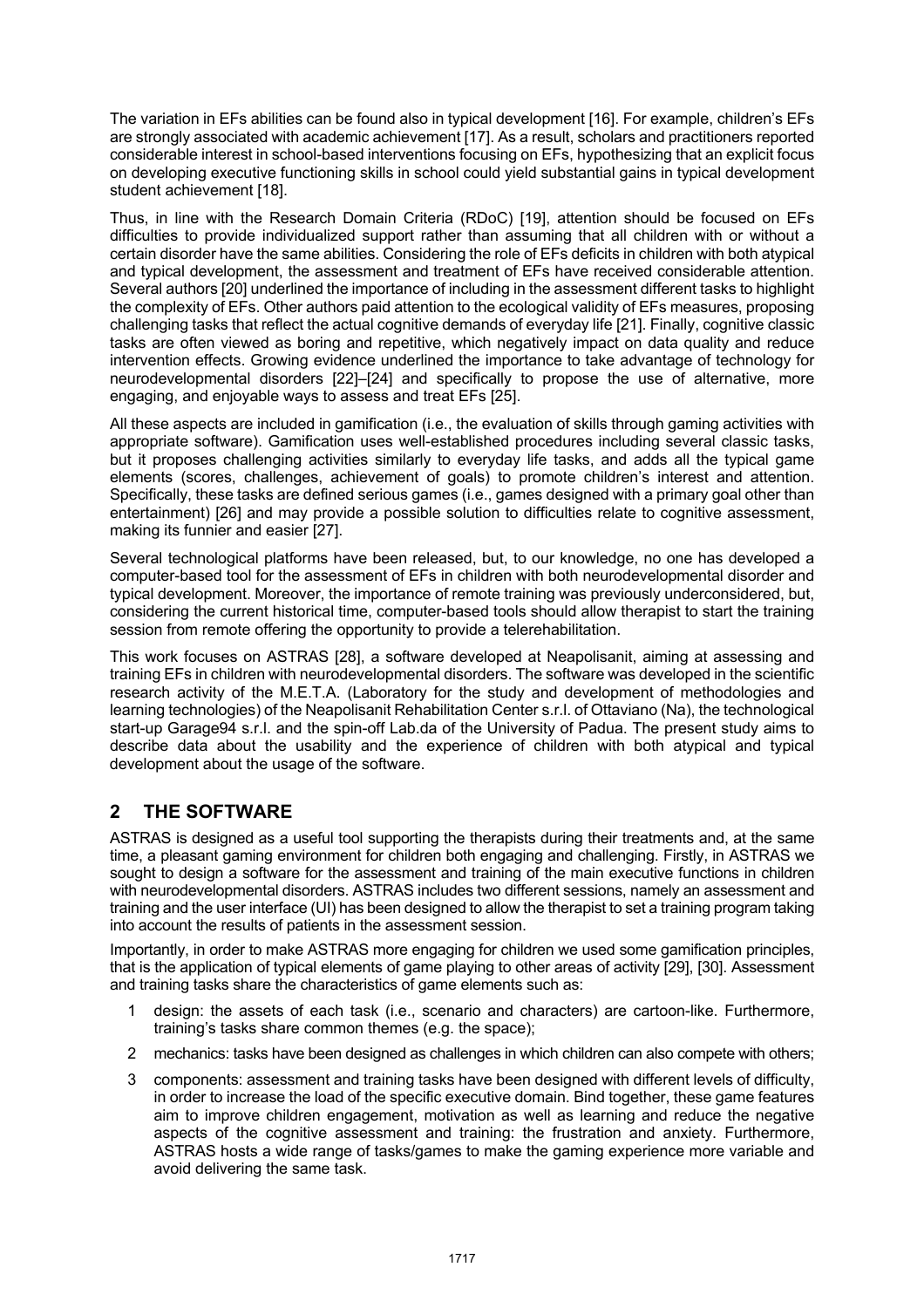The variation in EFs abilities can be found also in typical development [16]. For example, children's EFs are strongly associated with academic achievement [17]. As a result, scholars and practitioners reported considerable interest in school-based interventions focusing on EFs, hypothesizing that an explicit focus on developing executive functioning skills in school could yield substantial gains in typical development student achievement [18].

Thus, in line with the Research Domain Criteria (RDoC) [19], attention should be focused on EFs difficulties to provide individualized support rather than assuming that all children with or without a certain disorder have the same abilities. Considering the role of EFs deficits in children with both atypical and typical development, the assessment and treatment of EFs have received considerable attention. Several authors [20] underlined the importance of including in the assessment different tasks to highlight the complexity of EFs. Other authors paid attention to the ecological validity of EFs measures, proposing challenging tasks that reflect the actual cognitive demands of everyday life [21]. Finally, cognitive classic tasks are often viewed as boring and repetitive, which negatively impact on data quality and reduce intervention effects. Growing evidence underlined the importance to take advantage of technology for neurodevelopmental disorders [22]–[24] and specifically to propose the use of alternative, more engaging, and enjoyable ways to assess and treat EFs [25].

All these aspects are included in gamification (i.e., the evaluation of skills through gaming activities with appropriate software). Gamification uses well-established procedures including several classic tasks, but it proposes challenging activities similarly to everyday life tasks, and adds all the typical game elements (scores, challenges, achievement of goals) to promote children's interest and attention. Specifically, these tasks are defined serious games (i.e., games designed with a primary goal other than entertainment) [26] and may provide a possible solution to difficulties relate to cognitive assessment, making its funnier and easier [27].

Several technological platforms have been released, but, to our knowledge, no one has developed a computer-based tool for the assessment of EFs in children with both neurodevelopmental disorder and typical development. Moreover, the importance of remote training was previously underconsidered, but, considering the current historical time, computer-based tools should allow therapist to start the training session from remote offering the opportunity to provide a telerehabilitation.

This work focuses on ASTRAS [28], a software developed at Neapolisanit, aiming at assessing and training EFs in children with neurodevelopmental disorders. The software was developed in the scientific research activity of the M.E.T.A. (Laboratory for the study and development of methodologies and learning technologies) of the Neapolisanit Rehabilitation Center s.r.l. of Ottaviano (Na), the technological start-up Garage94 s.r.l. and the spin-off Lab.da of the University of Padua. The present study aims to describe data about the usability and the experience of children with both atypical and typical development about the usage of the software.

## **2 THE SOFTWARE**

ASTRAS is designed as a useful tool supporting the therapists during their treatments and, at the same time, a pleasant gaming environment for children both engaging and challenging. Firstly, in ASTRAS we sought to design a software for the assessment and training of the main executive functions in children with neurodevelopmental disorders. ASTRAS includes two different sessions, namely an assessment and training and the user interface (UI) has been designed to allow the therapist to set a training program taking into account the results of patients in the assessment session.

Importantly, in order to make ASTRAS more engaging for children we used some gamification principles, that is the application of typical elements of game playing to other areas of activity [29], [30]. Assessment and training tasks share the characteristics of game elements such as:

- 1 design: the assets of each task (i.e., scenario and characters) are cartoon-like. Furthermore, training's tasks share common themes (e.g. the space);
- 2 mechanics: tasks have been designed as challenges in which children can also compete with others;
- 3 components: assessment and training tasks have been designed with different levels of difficulty, in order to increase the load of the specific executive domain. Bind together, these game features aim to improve children engagement, motivation as well as learning and reduce the negative aspects of the cognitive assessment and training: the frustration and anxiety. Furthermore, ASTRAS hosts a wide range of tasks/games to make the gaming experience more variable and avoid delivering the same task.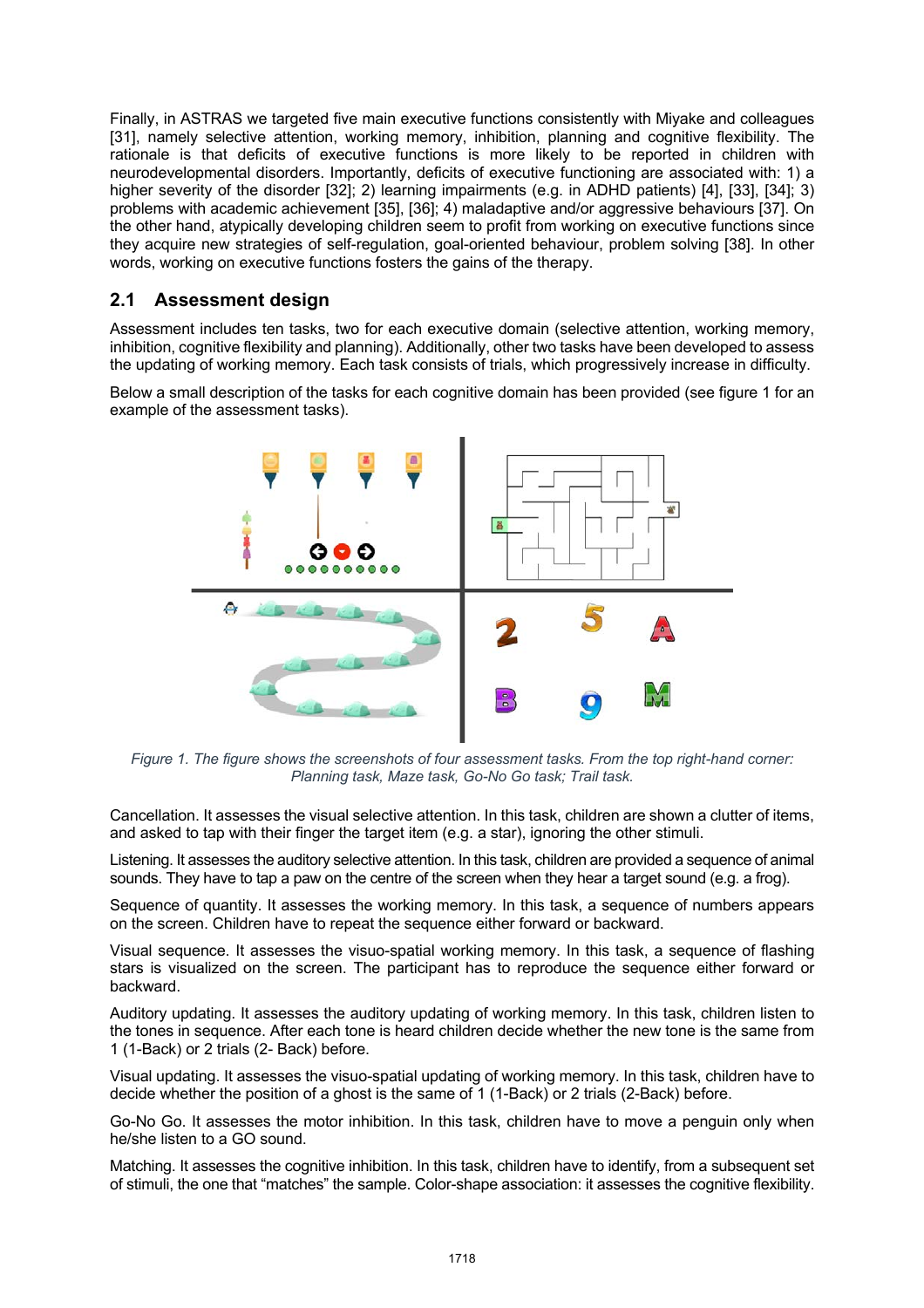Finally, in ASTRAS we targeted five main executive functions consistently with Miyake and colleagues [31], namely selective attention, working memory, inhibition, planning and cognitive flexibility. The rationale is that deficits of executive functions is more likely to be reported in children with neurodevelopmental disorders. Importantly, deficits of executive functioning are associated with: 1) a higher severity of the disorder [32]; 2) learning impairments (e.g. in ADHD patients) [4], [33], [34]; 3) problems with academic achievement [35], [36]; 4) maladaptive and/or aggressive behaviours [37]. On the other hand, atypically developing children seem to profit from working on executive functions since they acquire new strategies of self-regulation, goal-oriented behaviour, problem solving [38]. In other words, working on executive functions fosters the gains of the therapy.

### **2.1 Assessment design**

Assessment includes ten tasks, two for each executive domain (selective attention, working memory, inhibition, cognitive flexibility and planning). Additionally, other two tasks have been developed to assess the updating of working memory. Each task consists of trials, which progressively increase in difficulty.

Below a small description of the tasks for each cognitive domain has been provided (see figure 1 for an example of the assessment tasks).



*Figure 1. The figure shows the screenshots of four assessment tasks. From the top right-hand corner: Planning task, Maze task, Go-No Go task; Trail task.*

Cancellation. It assesses the visual selective attention. In this task, children are shown a clutter of items, and asked to tap with their finger the target item (e.g. a star), ignoring the other stimuli.

Listening. It assesses the auditory selective attention. In this task, children are provided a sequence of animal sounds. They have to tap a paw on the centre of the screen when they hear a target sound (e.g. a frog).

Sequence of quantity. It assesses the working memory. In this task, a sequence of numbers appears on the screen. Children have to repeat the sequence either forward or backward.

Visual sequence. It assesses the visuo-spatial working memory. In this task, a sequence of flashing stars is visualized on the screen. The participant has to reproduce the sequence either forward or backward.

Auditory updating. It assesses the auditory updating of working memory. In this task, children listen to the tones in sequence. After each tone is heard children decide whether the new tone is the same from 1 (1-Back) or 2 trials (2- Back) before.

Visual updating. It assesses the visuo-spatial updating of working memory. In this task, children have to decide whether the position of a ghost is the same of 1 (1-Back) or 2 trials (2-Back) before.

Go-No Go. It assesses the motor inhibition. In this task, children have to move a penguin only when he/she listen to a GO sound.

Matching. It assesses the cognitive inhibition. In this task, children have to identify, from a subsequent set of stimuli, the one that "matches" the sample. Color-shape association: it assesses the cognitive flexibility.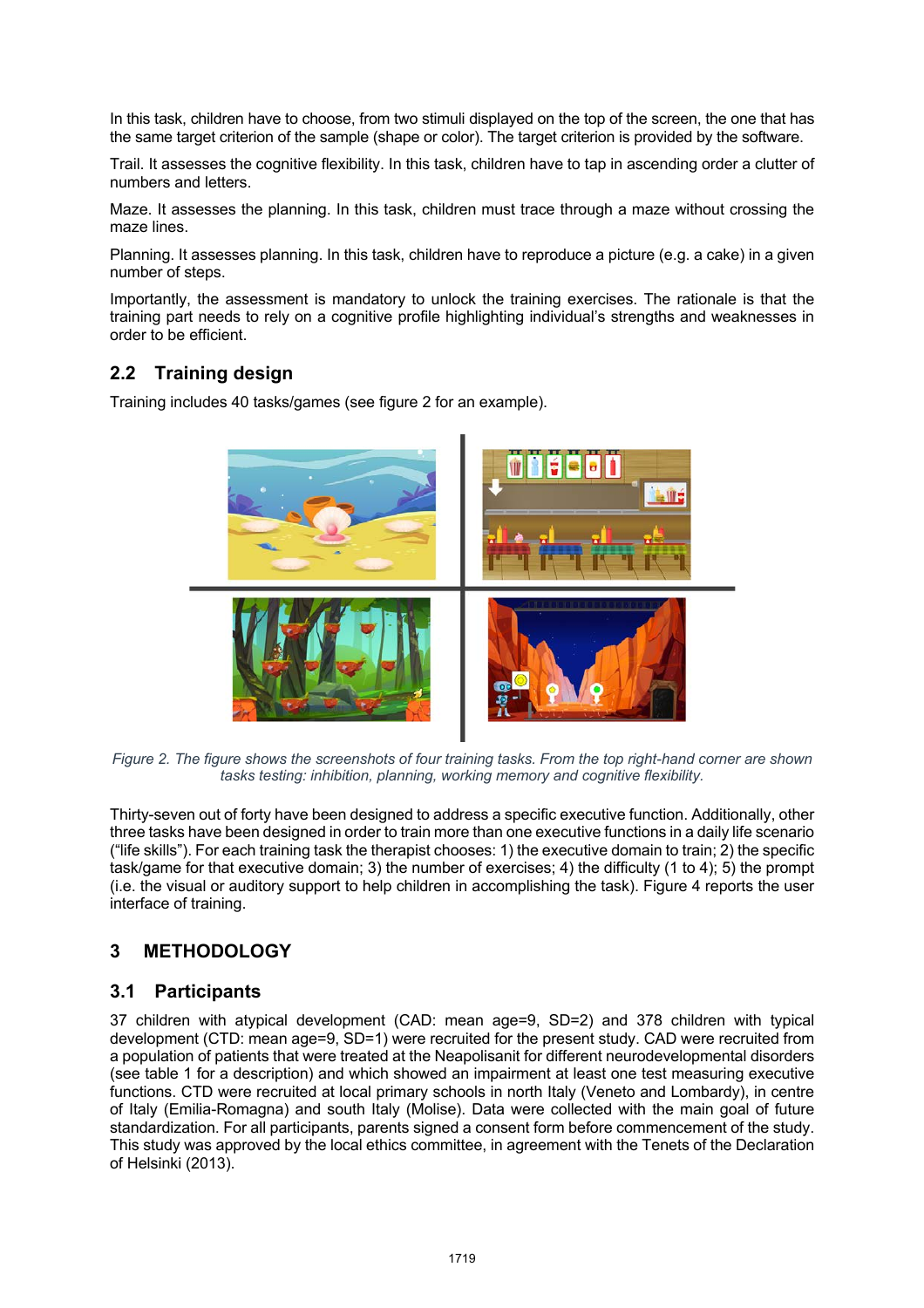In this task, children have to choose, from two stimuli displayed on the top of the screen, the one that has the same target criterion of the sample (shape or color). The target criterion is provided by the software.

Trail. It assesses the cognitive flexibility. In this task, children have to tap in ascending order a clutter of numbers and letters.

Maze. It assesses the planning. In this task, children must trace through a maze without crossing the maze lines.

Planning. It assesses planning. In this task, children have to reproduce a picture (e.g. a cake) in a given number of steps.

Importantly, the assessment is mandatory to unlock the training exercises. The rationale is that the training part needs to rely on a cognitive profile highlighting individual's strengths and weaknesses in order to be efficient.

## **2.2 Training design**

Training includes 40 tasks/games (see figure 2 for an example).



*Figure 2. The figure shows the screenshots of four training tasks. From the top right-hand corner are shown tasks testing: inhibition, planning, working memory and cognitive flexibility.*

Thirty-seven out of forty have been designed to address a specific executive function. Additionally, other three tasks have been designed in order to train more than one executive functions in a daily life scenario ("life skills"). For each training task the therapist chooses: 1) the executive domain to train; 2) the specific task/game for that executive domain; 3) the number of exercises; 4) the difficulty (1 to 4); 5) the prompt (i.e. the visual or auditory support to help children in accomplishing the task). Figure 4 reports the user interface of training.

## **3 METHODOLOGY**

#### **3.1 Participants**

37 children with atypical development (CAD: mean age=9, SD=2) and 378 children with typical development (CTD: mean age=9, SD=1) were recruited for the present study. CAD were recruited from a population of patients that were treated at the Neapolisanit for different neurodevelopmental disorders (see table 1 for a description) and which showed an impairment at least one test measuring executive functions. CTD were recruited at local primary schools in north Italy (Veneto and Lombardy), in centre of Italy (Emilia-Romagna) and south Italy (Molise). Data were collected with the main goal of future standardization. For all participants, parents signed a consent form before commencement of the study. This study was approved by the local ethics committee, in agreement with the Tenets of the Declaration of Helsinki (2013).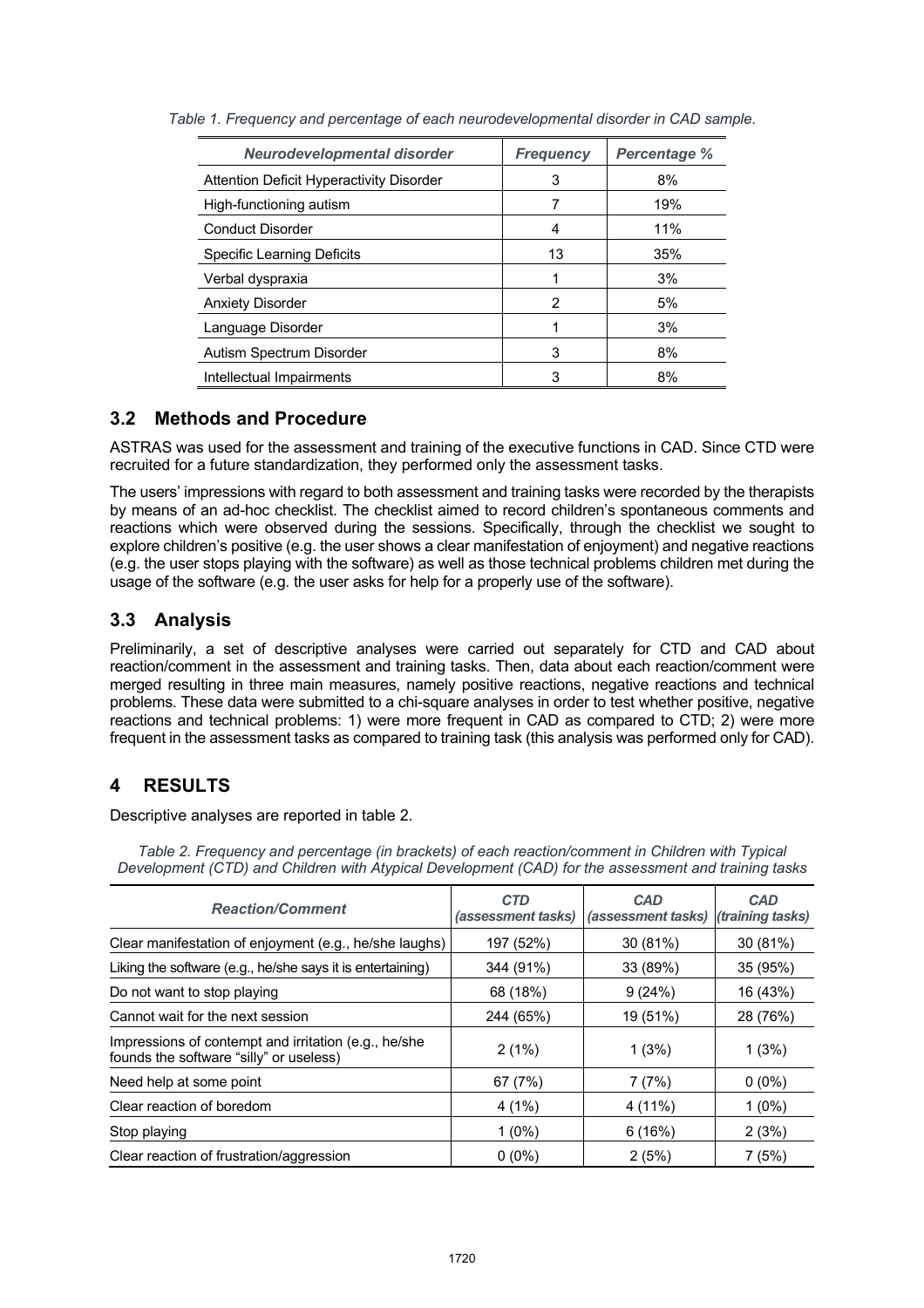| <b>Neurodevelopmental disorder</b>              | <b>Frequency</b> | <b>Percentage %</b> |
|-------------------------------------------------|------------------|---------------------|
| <b>Attention Deficit Hyperactivity Disorder</b> | 3                | 8%                  |
| High-functioning autism                         |                  | 19%                 |
| <b>Conduct Disorder</b>                         | 4                | 11%                 |
| Specific Learning Deficits                      | 13               | 35%                 |
| Verbal dyspraxia                                | 1                | 3%                  |
| <b>Anxiety Disorder</b>                         | $\mathcal{P}$    | 5%                  |
| Language Disorder                               | 1                | 3%                  |
| Autism Spectrum Disorder                        | 3                | 8%                  |
| Intellectual Impairments                        | 3                | 8%                  |

*Table 1. Frequency and percentage of each neurodevelopmental disorder in CAD sample.*

### **3.2 Methods and Procedure**

ASTRAS was used for the assessment and training of the executive functions in CAD. Since CTD were recruited for a future standardization, they performed only the assessment tasks.

The users' impressions with regard to both assessment and training tasks were recorded by the therapists by means of an ad-hoc checklist. The checklist aimed to record children's spontaneous comments and reactions which were observed during the sessions. Specifically, through the checklist we sought to explore children's positive (e.g. the user shows a clear manifestation of enjoyment) and negative reactions (e.g. the user stops playing with the software) as well as those technical problems children met during the usage of the software (e.g. the user asks for help for a properly use of the software).

### **3.3 Analysis**

Preliminarily, a set of descriptive analyses were carried out separately for CTD and CAD about reaction/comment in the assessment and training tasks. Then, data about each reaction/comment were merged resulting in three main measures, namely positive reactions, negative reactions and technical problems. These data were submitted to a chi-square analyses in order to test whether positive, negative reactions and technical problems: 1) were more frequent in CAD as compared to CTD; 2) were more frequent in the assessment tasks as compared to training task (this analysis was performed only for CAD).

# **4 RESULTS**

Descriptive analyses are reported in table 2.

*Table 2. Frequency and percentage (in brackets) of each reaction/comment in Children with Typical Development (CTD) and Children with Atypical Development (CAD) for the assessment and training tasks*

| <b>Reaction/Comment</b>                                                                         | <b>CTD</b><br>(assessment tasks) | <b>CAD</b><br>(assessment tasks) | <b>CAD</b><br><i>(training tasks)</i> |
|-------------------------------------------------------------------------------------------------|----------------------------------|----------------------------------|---------------------------------------|
| Clear manifestation of enjoyment (e.g., he/she laughs)                                          | 197 (52%)                        | 30 (81%)                         | 30(81%)                               |
| Liking the software (e.g., he/she says it is entertaining)                                      | 344 (91%)                        | 33 (89%)                         | 35 (95%)                              |
| Do not want to stop playing                                                                     | 68 (18%)                         | 9(24%)                           | 16 (43%)                              |
| Cannot wait for the next session                                                                | 244 (65%)                        | 19 (51%)                         | 28 (76%)                              |
| Impressions of contempt and irritation (e.g., he/she<br>founds the software "silly" or useless) | 2(1%)                            | 1(3%)                            | 1(3%)                                 |
| Need help at some point                                                                         | 67 (7%)                          | 7(7%)                            | $0(0\%)$                              |
| Clear reaction of boredom                                                                       | 4(1%)                            | 4 (11%)                          | $1(0\%)$                              |
| Stop playing                                                                                    | $1(0\%)$                         | 6(16%)                           | 2(3%)                                 |
| Clear reaction of frustration/aggression                                                        | $0(0\%)$                         | 2(5%)                            | 7(5%)                                 |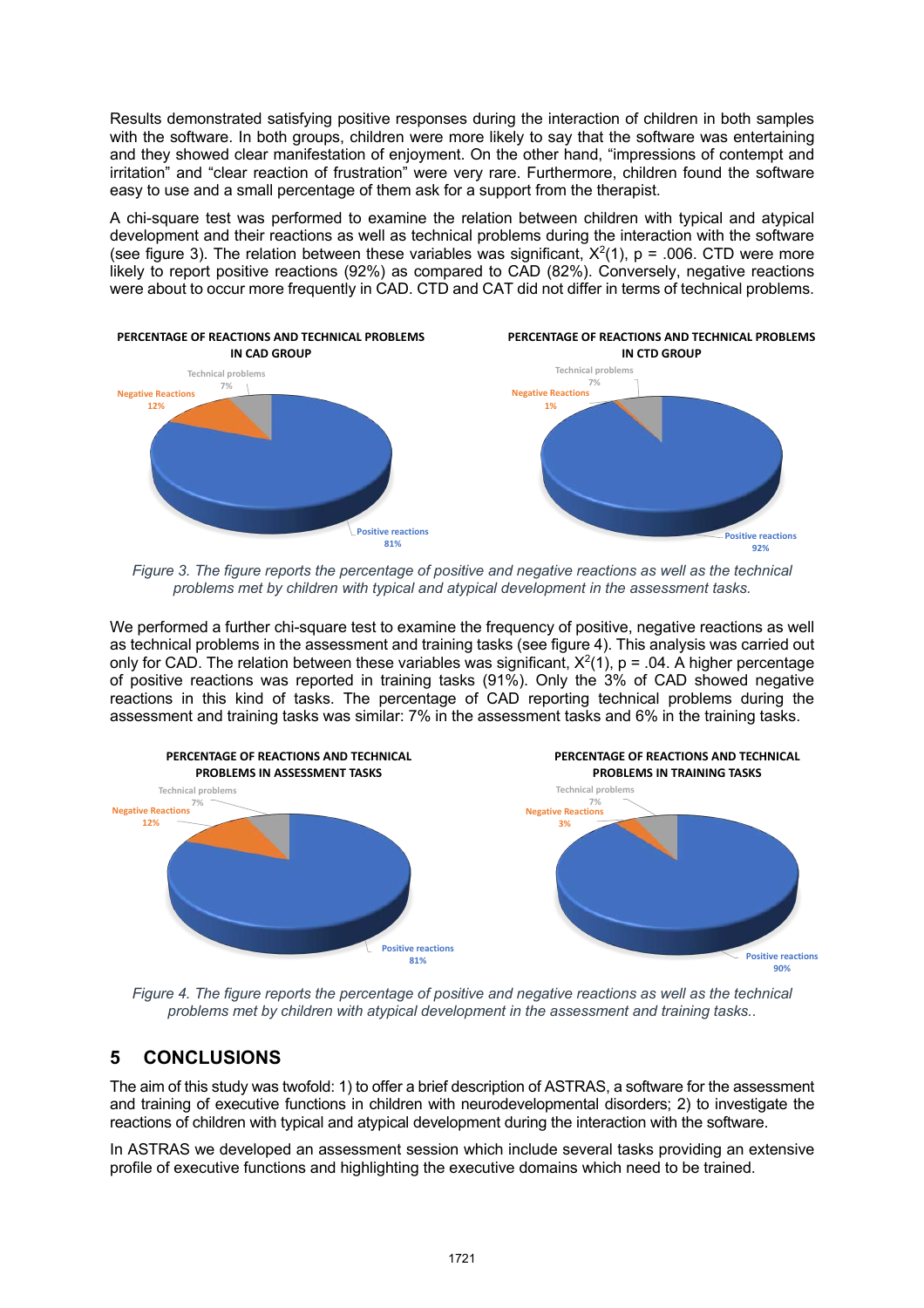Results demonstrated satisfying positive responses during the interaction of children in both samples with the software. In both groups, children were more likely to say that the software was entertaining and they showed clear manifestation of enjoyment. On the other hand, "impressions of contempt and irritation" and "clear reaction of frustration" were very rare. Furthermore, children found the software easy to use and a small percentage of them ask for a support from the therapist.

A chi-square test was performed to examine the relation between children with typical and atypical development and their reactions as well as technical problems during the interaction with the software (see figure 3). The relation between these variables was significant,  $X^2(1)$ , p = .006. CTD were more likely to report positive reactions (92%) as compared to CAD (82%). Conversely, negative reactions were about to occur more frequently in CAD. CTD and CAT did not differ in terms of technical problems.



*Figure 3. The figure reports the percentage of positive and negative reactions as well as the technical problems met by children with typical and atypical development in the assessment tasks.*

We performed a further chi-square test to examine the frequency of positive, negative reactions as well as technical problems in the assessment and training tasks (see figure 4). This analysis was carried out only for CAD. The relation between these variables was significant,  $X^2(1)$ , p = .04. A higher percentage of positive reactions was reported in training tasks (91%). Only the 3% of CAD showed negative reactions in this kind of tasks. The percentage of CAD reporting technical problems during the assessment and training tasks was similar: 7% in the assessment tasks and 6% in the training tasks.



*Figure 4. The figure reports the percentage of positive and negative reactions as well as the technical problems met by children with atypical development in the assessment and training tasks..* 

#### **5 CONCLUSIONS**

The aim of this study was twofold: 1) to offer a brief description of ASTRAS, a software for the assessment and training of executive functions in children with neurodevelopmental disorders; 2) to investigate the reactions of children with typical and atypical development during the interaction with the software.

In ASTRAS we developed an assessment session which include several tasks providing an extensive profile of executive functions and highlighting the executive domains which need to be trained.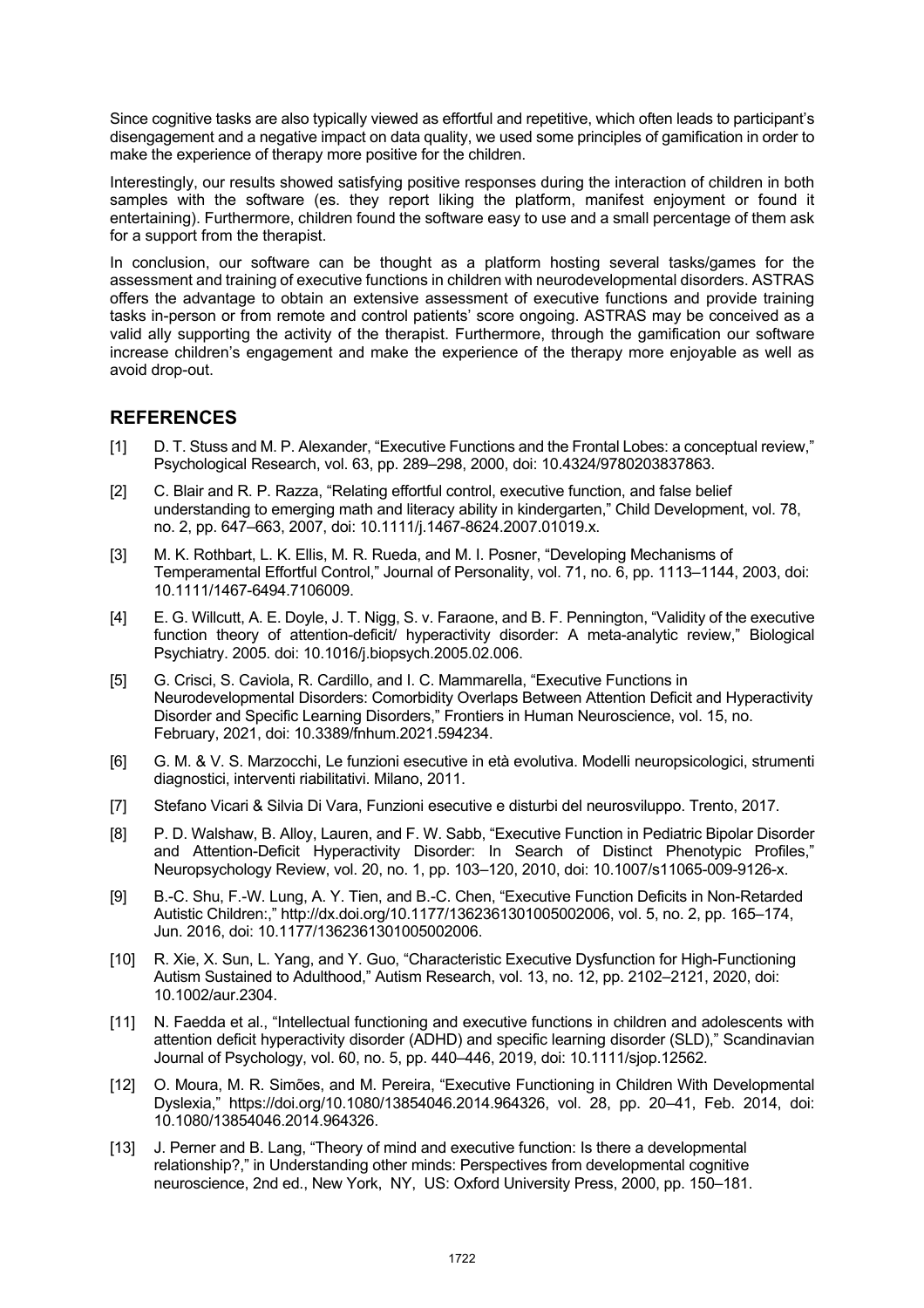Since cognitive tasks are also typically viewed as effortful and repetitive, which often leads to participant's disengagement and a negative impact on data quality, we used some principles of gamification in order to make the experience of therapy more positive for the children.

Interestingly, our results showed satisfying positive responses during the interaction of children in both samples with the software (es. they report liking the platform, manifest enjoyment or found it entertaining). Furthermore, children found the software easy to use and a small percentage of them ask for a support from the therapist.

In conclusion, our software can be thought as a platform hosting several tasks/games for the assessment and training of executive functions in children with neurodevelopmental disorders. ASTRAS offers the advantage to obtain an extensive assessment of executive functions and provide training tasks in-person or from remote and control patients' score ongoing. ASTRAS may be conceived as a valid ally supporting the activity of the therapist. Furthermore, through the gamification our software increase children's engagement and make the experience of the therapy more enjoyable as well as avoid drop-out.

#### **REFERENCES**

- [1] D. T. Stuss and M. P. Alexander, "Executive Functions and the Frontal Lobes: a conceptual review," Psychological Research, vol. 63, pp. 289–298, 2000, doi: 10.4324/9780203837863.
- [2] C. Blair and R. P. Razza, "Relating effortful control, executive function, and false belief understanding to emerging math and literacy ability in kindergarten," Child Development, vol. 78, no. 2, pp. 647–663, 2007, doi: 10.1111/j.1467-8624.2007.01019.x.
- [3] M. K. Rothbart, L. K. Ellis, M. R. Rueda, and M. I. Posner, "Developing Mechanisms of Temperamental Effortful Control," Journal of Personality, vol. 71, no. 6, pp. 1113–1144, 2003, doi: 10.1111/1467-6494.7106009.
- [4] E. G. Willcutt, A. E. Doyle, J. T. Nigg, S. v. Faraone, and B. F. Pennington, "Validity of the executive function theory of attention-deficit/ hyperactivity disorder: A meta-analytic review," Biological Psychiatry. 2005. doi: 10.1016/j.biopsych.2005.02.006.
- [5] G. Crisci, S. Caviola, R. Cardillo, and I. C. Mammarella, "Executive Functions in Neurodevelopmental Disorders: Comorbidity Overlaps Between Attention Deficit and Hyperactivity Disorder and Specific Learning Disorders," Frontiers in Human Neuroscience, vol. 15, no. February, 2021, doi: 10.3389/fnhum.2021.594234.
- [6] G. M. & V. S. Marzocchi, Le funzioni esecutive in età evolutiva. Modelli neuropsicologici, strumenti diagnostici, interventi riabilitativi. Milano, 2011.
- [7] Stefano Vicari & Silvia Di Vara, Funzioni esecutive e disturbi del neurosviluppo. Trento, 2017.
- [8] P. D. Walshaw, B. Alloy, Lauren, and F. W. Sabb, "Executive Function in Pediatric Bipolar Disorder and Attention-Deficit Hyperactivity Disorder: In Search of Distinct Phenotypic Profiles," Neuropsychology Review, vol. 20, no. 1, pp. 103–120, 2010, doi: 10.1007/s11065-009-9126-x.
- [9] B.-C. Shu, F.-W. Lung, A. Y. Tien, and B.-C. Chen, "Executive Function Deficits in Non-Retarded Autistic Children:," http://dx.doi.org/10.1177/1362361301005002006, vol. 5, no. 2, pp. 165–174, Jun. 2016, doi: 10.1177/1362361301005002006.
- [10] R. Xie, X. Sun, L. Yang, and Y. Guo, "Characteristic Executive Dysfunction for High-Functioning Autism Sustained to Adulthood," Autism Research, vol. 13, no. 12, pp. 2102–2121, 2020, doi: 10.1002/aur.2304.
- [11] N. Faedda et al., "Intellectual functioning and executive functions in children and adolescents with attention deficit hyperactivity disorder (ADHD) and specific learning disorder (SLD)," Scandinavian Journal of Psychology, vol. 60, no. 5, pp. 440–446, 2019, doi: 10.1111/sjop.12562.
- [12] O. Moura, M. R. Simões, and M. Pereira, "Executive Functioning in Children With Developmental Dyslexia," https://doi.org/10.1080/13854046.2014.964326, vol. 28, pp. 20–41, Feb. 2014, doi: 10.1080/13854046.2014.964326.
- [13] J. Perner and B. Lang, "Theory of mind and executive function: Is there a developmental relationship?," in Understanding other minds: Perspectives from developmental cognitive neuroscience, 2nd ed., New York, NY, US: Oxford University Press, 2000, pp. 150–181.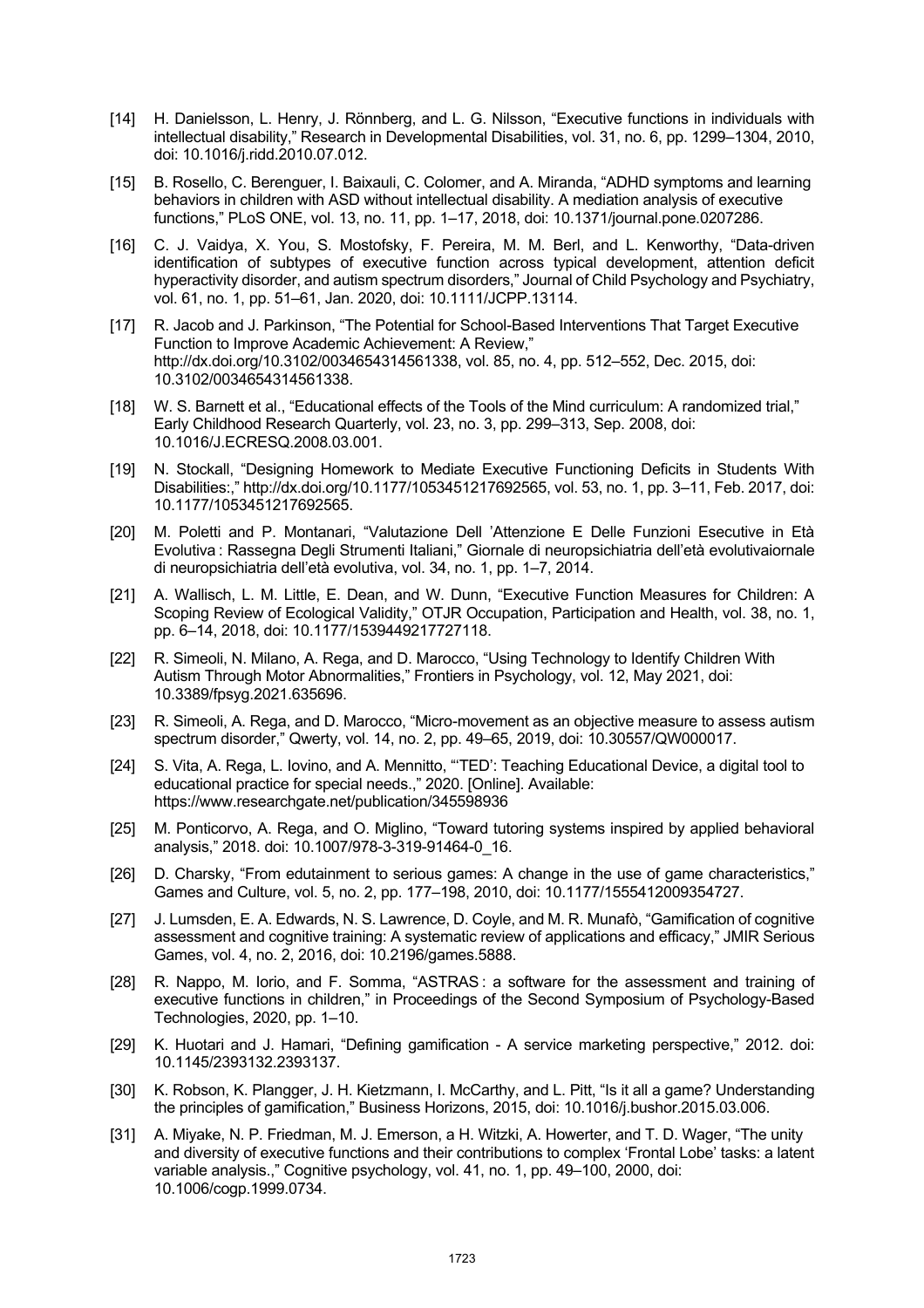- [14] H. Danielsson, L. Henry, J. Rönnberg, and L. G. Nilsson, "Executive functions in individuals with intellectual disability," Research in Developmental Disabilities, vol. 31, no. 6, pp. 1299–1304, 2010, doi: 10.1016/j.ridd.2010.07.012.
- [15] B. Rosello, C. Berenguer, I. Baixauli, C. Colomer, and A. Miranda, "ADHD symptoms and learning behaviors in children with ASD without intellectual disability. A mediation analysis of executive functions," PLoS ONE, vol. 13, no. 11, pp. 1–17, 2018, doi: 10.1371/journal.pone.0207286.
- [16] C. J. Vaidya, X. You, S. Mostofsky, F. Pereira, M. M. Berl, and L. Kenworthy, "Data-driven identification of subtypes of executive function across typical development, attention deficit hyperactivity disorder, and autism spectrum disorders," Journal of Child Psychology and Psychiatry, vol. 61, no. 1, pp. 51–61, Jan. 2020, doi: 10.1111/JCPP.13114.
- [17] R. Jacob and J. Parkinson, "The Potential for School-Based Interventions That Target Executive Function to Improve Academic Achievement: A Review," http://dx.doi.org/10.3102/0034654314561338, vol. 85, no. 4, pp. 512–552, Dec. 2015, doi: 10.3102/0034654314561338.
- [18] W. S. Barnett et al., "Educational effects of the Tools of the Mind curriculum: A randomized trial," Early Childhood Research Quarterly, vol. 23, no. 3, pp. 299–313, Sep. 2008, doi: 10.1016/J.ECRESQ.2008.03.001.
- [19] N. Stockall, "Designing Homework to Mediate Executive Functioning Deficits in Students With Disabilities:," http://dx.doi.org/10.1177/1053451217692565, vol. 53, no. 1, pp. 3–11, Feb. 2017, doi: 10.1177/1053451217692565.
- [20] M. Poletti and P. Montanari, "Valutazione Dell 'Attenzione E Delle Funzioni Esecutive in Età Evolutiva : Rassegna Degli Strumenti Italiani," Giornale di neuropsichiatria dell'età evolutivaiornale di neuropsichiatria dell'età evolutiva, vol. 34, no. 1, pp. 1–7, 2014.
- [21] A. Wallisch, L. M. Little, E. Dean, and W. Dunn, "Executive Function Measures for Children: A Scoping Review of Ecological Validity," OTJR Occupation, Participation and Health, vol. 38, no. 1, pp. 6–14, 2018, doi: 10.1177/1539449217727118.
- [22] R. Simeoli, N. Milano, A. Rega, and D. Marocco, "Using Technology to Identify Children With Autism Through Motor Abnormalities," Frontiers in Psychology, vol. 12, May 2021, doi: 10.3389/fpsyg.2021.635696.
- [23] R. Simeoli, A. Rega, and D. Marocco, "Micro-movement as an objective measure to assess autism spectrum disorder," Qwerty, vol. 14, no. 2, pp. 49–65, 2019, doi: 10.30557/QW000017.
- [24] S. Vita, A. Rega, L. Iovino, and A. Mennitto, "'TED': Teaching Educational Device, a digital tool to educational practice for special needs.," 2020. [Online]. Available: https://www.researchgate.net/publication/345598936
- [25] M. Ponticorvo, A. Rega, and O. Miglino, "Toward tutoring systems inspired by applied behavioral analysis," 2018. doi: 10.1007/978-3-319-91464-0\_16.
- [26] D. Charsky, "From edutainment to serious games: A change in the use of game characteristics," Games and Culture, vol. 5, no. 2, pp. 177–198, 2010, doi: 10.1177/1555412009354727.
- [27] J. Lumsden, E. A. Edwards, N. S. Lawrence, D. Coyle, and M. R. Munafò, "Gamification of cognitive assessment and cognitive training: A systematic review of applications and efficacy," JMIR Serious Games, vol. 4, no. 2, 2016, doi: 10.2196/games.5888.
- [28] R. Nappo, M. Iorio, and F. Somma, "ASTRAS: a software for the assessment and training of executive functions in children," in Proceedings of the Second Symposium of Psychology-Based Technologies, 2020, pp. 1–10.
- [29] K. Huotari and J. Hamari, "Defining gamification A service marketing perspective," 2012. doi: 10.1145/2393132.2393137.
- [30] K. Robson, K. Plangger, J. H. Kietzmann, I. McCarthy, and L. Pitt, "Is it all a game? Understanding the principles of gamification," Business Horizons, 2015, doi: 10.1016/j.bushor.2015.03.006.
- [31] A. Miyake, N. P. Friedman, M. J. Emerson, a H. Witzki, A. Howerter, and T. D. Wager, "The unity and diversity of executive functions and their contributions to complex 'Frontal Lobe' tasks: a latent variable analysis.," Cognitive psychology, vol. 41, no. 1, pp. 49–100, 2000, doi: 10.1006/cogp.1999.0734.